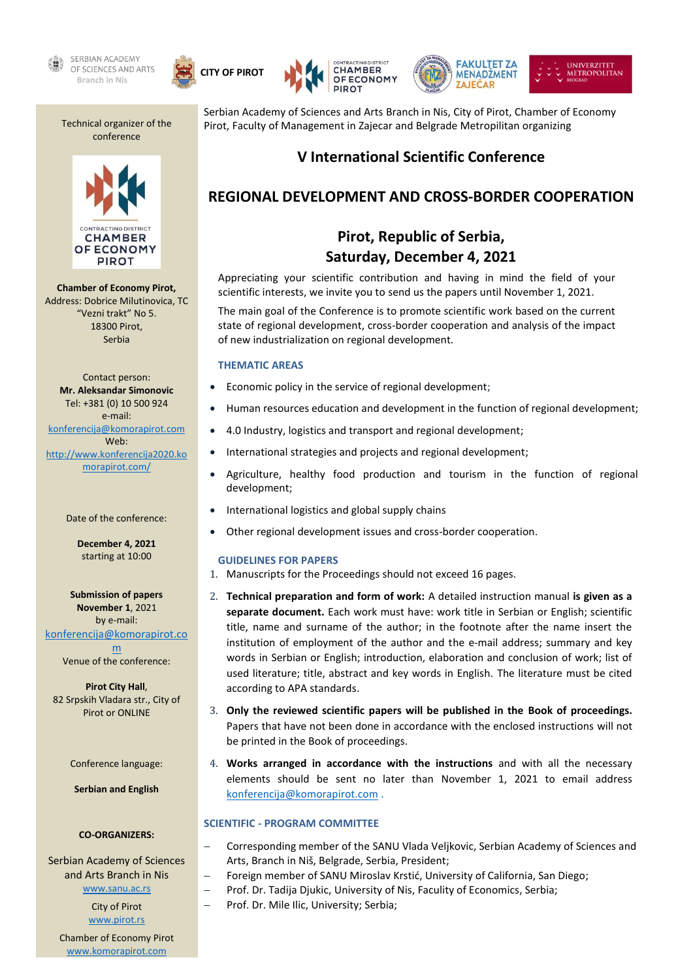











Technical organizer of the conference



**Chamber of Economy Pirot,** Address: Dobrice Milutinovica, TC "Vezni trakt" No 5. 18300 Pirot, Serbia

Contact person: **Mr. Aleksandar Simonovic** Tel: +381 (0) 10 500 924 e-mail: [konferencija@komorapirot.com](file:///C:/Users/Vladan%20Stojanovic/Desktop/Konferencija%20Pirot%202017/konferencija@komorapirot.com) Web: [http://www.konferencija2020.ko](http://www.konferencija2020.komorapirot.com/) [morapirot.com/](http://www.konferencija2020.komorapirot.com/)

#### Date of the conference:

**December 4, 2021** starting at 10:00

**Submission of papers November 1**, 2021 by e-mail: [konferencija@komorapirot.co](file:///C:/Users/Vladan%20Stojanovic/Desktop/Konferencija%20Pirot%202017/konferencija@komorapirot.com)

[m](file:///C:/Users/Vladan%20Stojanovic/Desktop/Konferencija%20Pirot%202017/konferencija@komorapirot.com) Venue of the conference:

**Pirot City Hall**, 82 Srpskih Vladara str., City of Pirot or ONLINE

Conference language:

**Serbian and English**

#### **CO-ORGANIZERS:**

Serbian Academy of Sciences and Arts Branch in Nis [www.sanu.ac.rs](file:///G:/New%20folder/www.sanu.ac.rs)

> City of Pirot [www.pirot.rs](file:///C:/Users/Vladan%20Stojanovic/Desktop/Konferencija%20Pirot%202017/www.pirot.rs)

Chamber of Economy Pirot [www.komorapirot.com](file:///C:/Users/Vladan%20Stojanovic/Desktop/Konferencija%20Pirot%202017/www.komorapirot.com)

Serbian Academy of Sciences and Arts Branch in Nis, City of Pirot, Chamber of Economy Pirot, Faculty of Management in Zajecar and Belgrade Metropilitan organizing

# **V International Scientific Conference**

# **REGIONAL DEVELOPMENT AND CROSS-BORDER COOPERATION**

# **Pirot, Republic of Serbia, Saturday, December 4, 2021**

Appreciating your scientific contribution and having in mind the field of your scientific interests, we invite you to send us the papers until November 1, 2021.

The main goal of the Conference is to promote scientific work based on the current state of regional development, cross-border cooperation and analysis of the impact of new industrialization on regional development.

#### **THEMATIC AREAS**

- Economic policy in the service of regional development;
- Human resources education and development in the function of regional development;
- 4.0 Industry, logistics and transport and regional development;
- International strategies and projects and regional development;
- Agriculture, healthy food production and tourism in the function of regional development;
- International logistics and global supply chains
- Other regional development issues and cross-border cooperation.

#### **GUIDELINES FOR PAPERS**

- 1. Manuscripts for the Proceedings should not exceed 16 pages.
- 2. **Technical preparation and form of work:** A detailed instruction manual **is given as a separate document.** Each work must have: work title in Serbian or English; scientific title, name and surname of the author; in the footnote after the name insert the institution of employment of the author and the e-mail address; summary and key words in Serbian or English; introduction, elaboration and conclusion of work; list of used literature; title, abstract and key words in English. The literature must be cited according to APA standards.
- 3. **Only the reviewed scientific papers will be published in the Book of proceedings.** Papers that have not been done in accordance with the enclosed instructions will not be printed in the Book of proceedings.
- 4. **Works arranged in accordance with the instructions** and with all the necessary elements should be sent no later than November 1, 2021 to email address [konferencija@komorapirot.com](mailto:konferencija@komorapirot.com) .

## **SCIENTIFIC - PROGRAM COMMITTEE**

- − Corresponding member of the SANU Vlada Veljkovic, Serbian Academy of Sciences and Arts, Branch in Niš, Belgrade, Serbia, President;
- Foreign member of SANU Miroslav Krstić, University of California, San Diego;
- − Prof. Dr. Tadija Djukic, University of Nis, Faculity of Economics, Serbia;
- − Prof. Dr. Mile Ilic, University; Serbia;